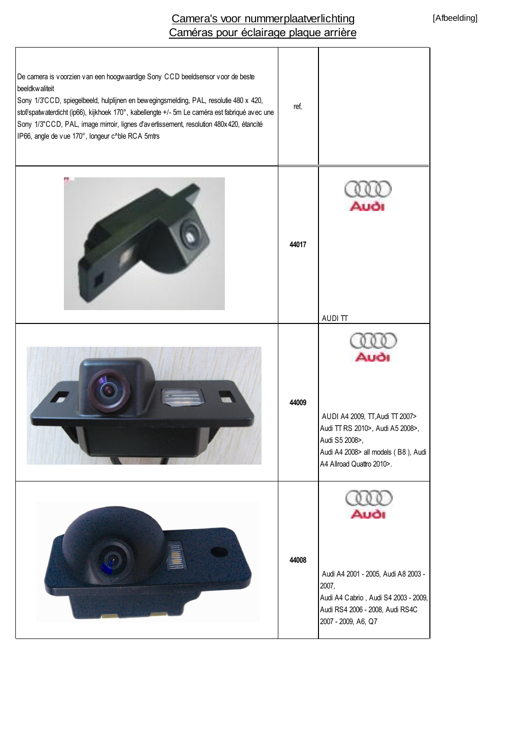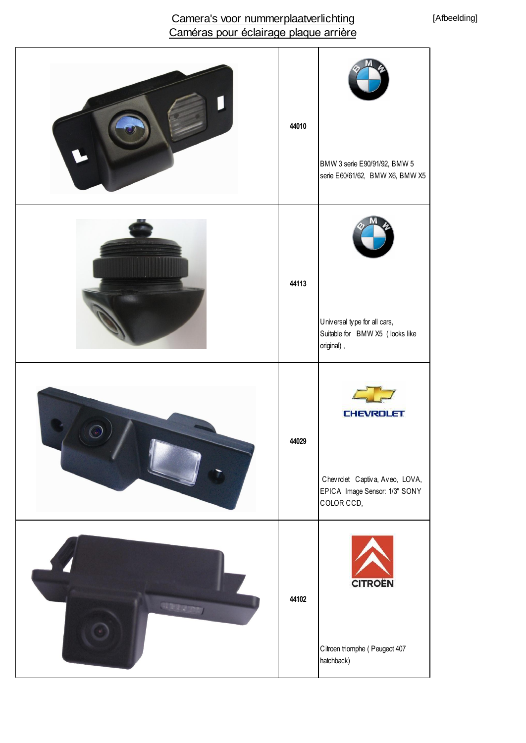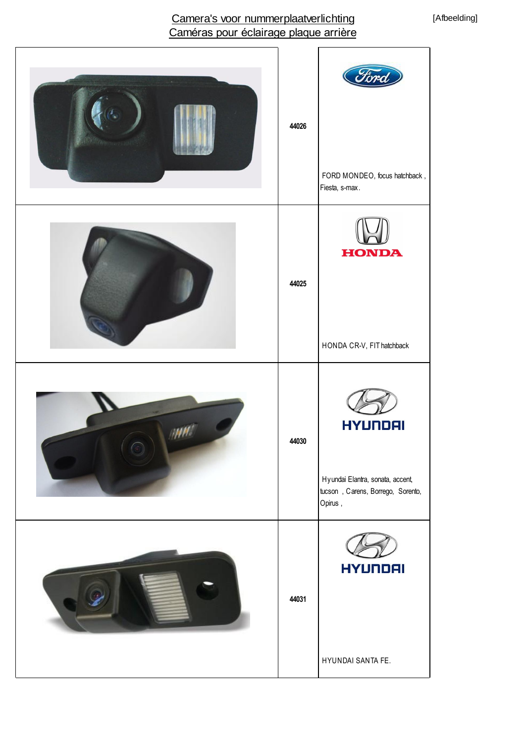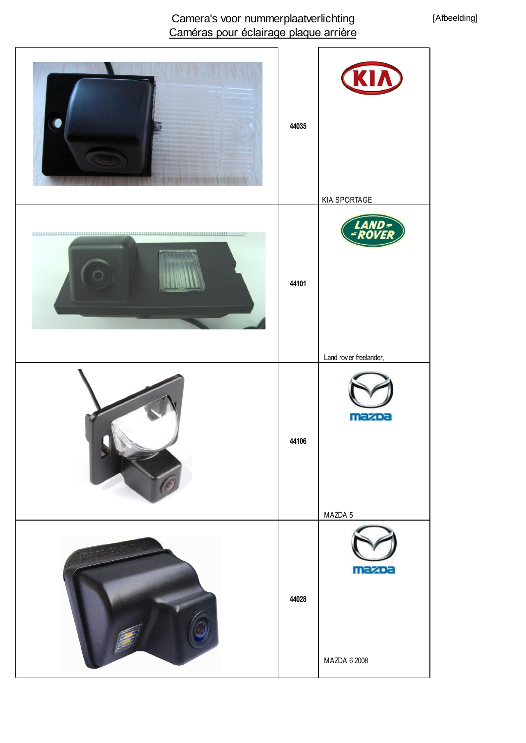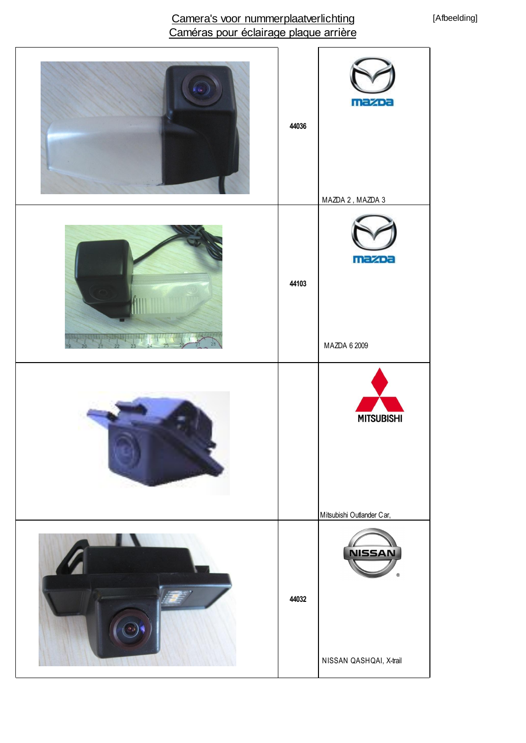#### [Afbeelding]

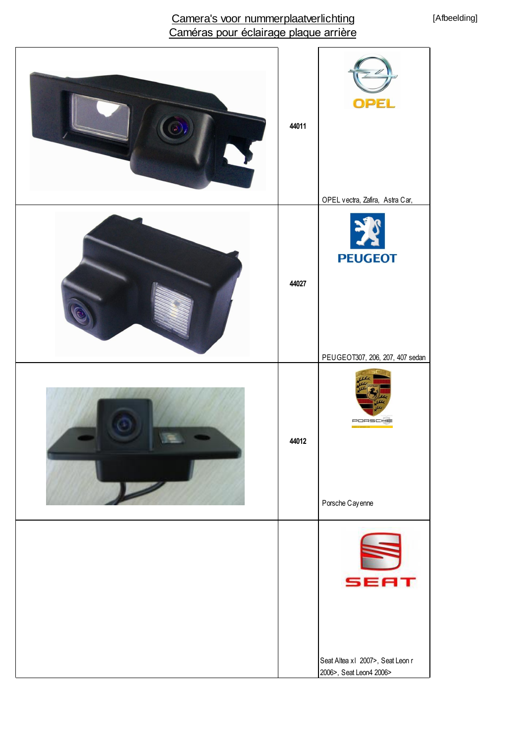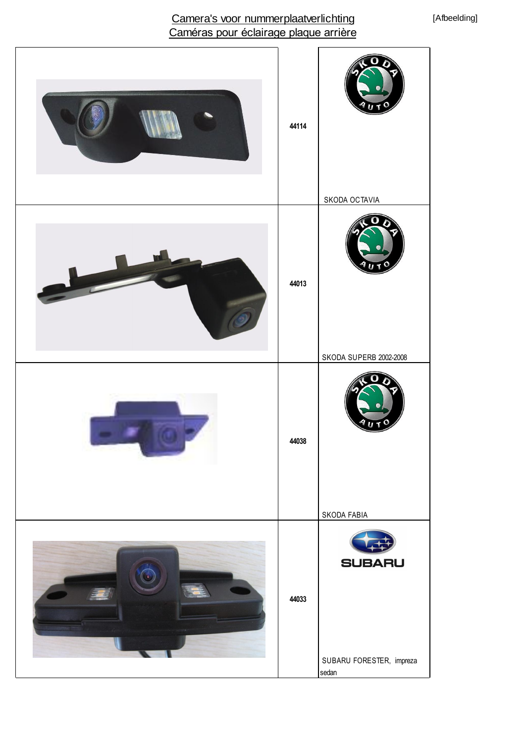[Afbeelding]

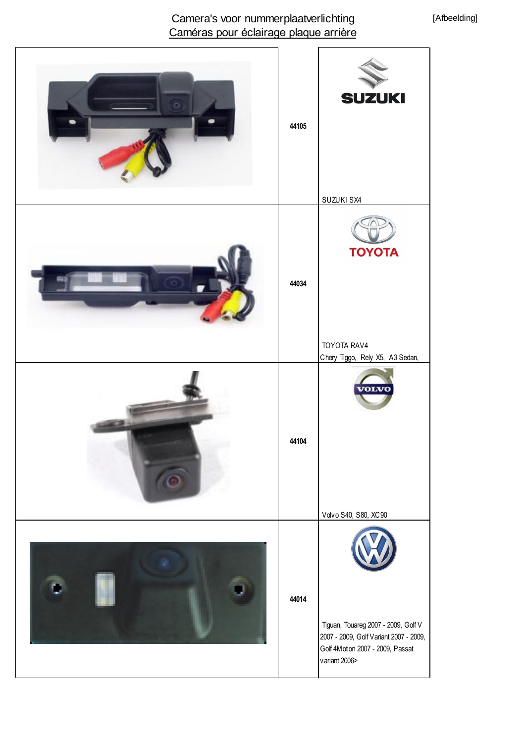